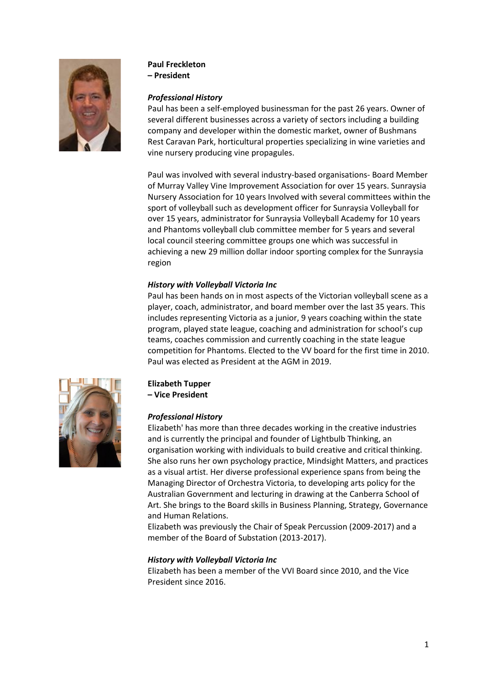

## **Paul Freckleton**

**– President**

## *Professional History*

Paul has been a self-employed businessman for the past 26 years. Owner of several different businesses across a variety of sectors including a building company and developer within the domestic market, owner of Bushmans Rest Caravan Park, horticultural properties specializing in wine varieties and vine nursery producing vine propagules.

Paul was involved with several industry-based organisations- Board Member of Murray Valley Vine Improvement Association for over 15 years. Sunraysia Nursery Association for 10 years Involved with several committees within the sport of volleyball such as development officer for Sunraysia Volleyball for over 15 years, administrator for Sunraysia Volleyball Academy for 10 years and Phantoms volleyball club committee member for 5 years and several local council steering committee groups one which was successful in achieving a new 29 million dollar indoor sporting complex for the Sunraysia region

## *History with Volleyball Victoria Inc*

Paul has been hands on in most aspects of the Victorian volleyball scene as a player, coach, administrator, and board member over the last 35 years. This includes representing Victoria as a junior, 9 years coaching within the state program, played state league, coaching and administration for school's cup teams, coaches commission and currently coaching in the state league competition for Phantoms. Elected to the VV board for the first time in 2010. Paul was elected as President at the AGM in 2019.



## **Elizabeth Tupper**

**– Vice President**

### *Professional History*

Elizabeth' has more than three decades working in the creative industries and is currently the principal and founder of Lightbulb Thinking, an organisation working with individuals to build creative and critical thinking. She also runs her own psychology practice, Mindsight Matters, and practices as a visual artist. Her diverse professional experience spans from being the Managing Director of Orchestra Victoria, to developing arts policy for the Australian Government and lecturing in drawing at the Canberra School of Art. She brings to the Board skills in Business Planning, Strategy, Governance and Human Relations.

Elizabeth was previously the Chair of Speak Percussion (2009-2017) and a member of the Board of Substation (2013-2017).

## *History with Volleyball Victoria Inc*

Elizabeth has been a member of the VVI Board since 2010, and the Vice President since 2016.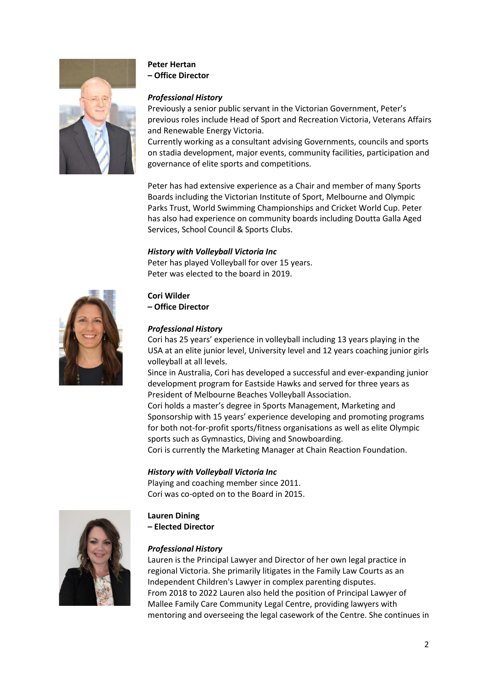

# **Peter Hertan**

**– Office Director**

## *Professional History*

Previously a senior public servant in the Victorian Government, Peter's previous roles include Head of Sport and Recreation Victoria, Veterans Affairs and Renewable Energy Victoria.

Currently working as a consultant advising Governments, councils and sports on stadia development, major events, community facilities, participation and governance of elite sports and competitions.

Peter has had extensive experience as a Chair and member of many Sports Boards including the Victorian Institute of Sport, Melbourne and Olympic Parks Trust, World Swimming Championships and Cricket World Cup. Peter has also had experience on community boards including Doutta Galla Aged Services, School Council & Sports Clubs.

## *History with Volleyball Victoria Inc*

Peter has played Volleyball for over 15 years. Peter was elected to the board in 2019.



## **Cori Wilder**

**– Office Director**

## *Professional History*

Cori has 25 years' experience in volleyball including 13 years playing in the USA at an elite junior level, University level and 12 years coaching junior girls volleyball at all levels.

Since in Australia, Cori has developed a successful and ever-expanding junior development program for Eastside Hawks and served for three years as President of Melbourne Beaches Volleyball Association.

Cori holds a master's degree in Sports Management, Marketing and Sponsorship with 15 years' experience developing and promoting programs for both not-for-profit sports/fitness organisations as well as elite Olympic sports such as Gymnastics, Diving and Snowboarding.

Cori is currently the Marketing Manager at Chain Reaction Foundation.

### *History with Volleyball Victoria Inc*

Playing and coaching member since 2011. Cori was co-opted on to the Board in 2015.



# **Lauren Dining**

**– Elected Director**

## *Professional History*

Lauren is the Principal Lawyer and Director of her own legal practice in regional Victoria. She primarily litigates in the Family Law Courts as an Independent Children's Lawyer in complex parenting disputes. From 2018 to 2022 Lauren also held the position of Principal Lawyer of Mallee Family Care Community Legal Centre, providing lawyers with mentoring and overseeing the legal casework of the Centre. She continues in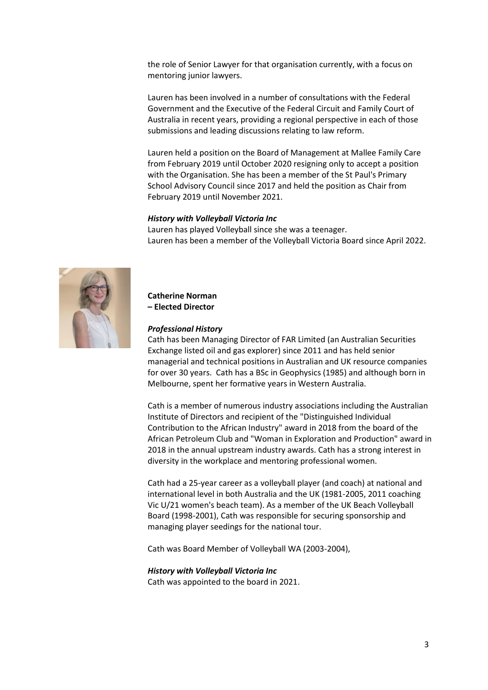the role of Senior Lawyer for that organisation currently, with a focus on mentoring junior lawyers.

Lauren has been involved in a number of consultations with the Federal Government and the Executive of the Federal Circuit and Family Court of Australia in recent years, providing a regional perspective in each of those submissions and leading discussions relating to law reform.

Lauren held a position on the Board of Management at Mallee Family Care from February 2019 until October 2020 resigning only to accept a position with the Organisation. She has been a member of the St Paul's Primary School Advisory Council since 2017 and held the position as Chair from February 2019 until November 2021.

#### *History with Volleyball Victoria Inc*

Lauren has played Volleyball since she was a teenager. Lauren has been a member of the Volleyball Victoria Board since April 2022.



#### **Catherine Norman – Elected Director**

#### *Professional History*

Cath has been Managing Director of FAR Limited (an Australian Securities Exchange listed oil and gas explorer) since 2011 and has held senior managerial and technical positions in Australian and UK resource companies for over 30 years. Cath has a BSc in Geophysics (1985) and although born in Melbourne, spent her formative years in Western Australia.

Cath is a member of numerous industry associations including the Australian Institute of Directors and recipient of the "Distinguished Individual Contribution to the African Industry" award in 2018 from the board of the African Petroleum Club and "Woman in Exploration and Production" award in 2018 in the annual upstream industry awards. Cath has a strong interest in diversity in the workplace and mentoring professional women.

Cath had a 25-year career as a volleyball player (and coach) at national and international level in both Australia and the UK (1981-2005, 2011 coaching Vic U/21 women's beach team). As a member of the UK Beach Volleyball Board (1998-2001), Cath was responsible for securing sponsorship and managing player seedings for the national tour.

Cath was Board Member of Volleyball WA (2003-2004),

# *History with Volleyball Victoria Inc*

Cath was appointed to the board in 2021.